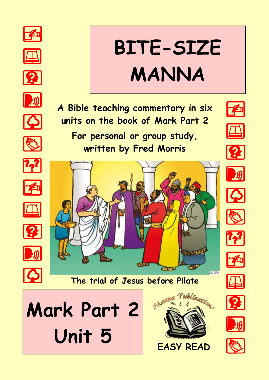























# **BITE-SIZE MANNA**

**A Bible teaching commentary in six units on the book of Mark Part 2**

**For personal or group study, written by Fred Morris**







#### **The trial of Jesus before Pilate**















**C GRN** 





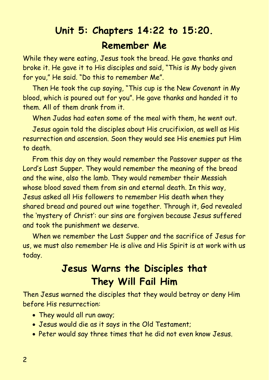# **Unit 5: Chapters 14:22 to 15:20. Remember Me**

While they were eating, Jesus took the bread. He gave thanks and broke it. He gave it to His disciples and said, "This is My body given for you," He said. "Do this to remember Me".

Then He took the cup saying, "This cup is the New Covenant in My blood, which is poured out for you". He gave thanks and handed it to them. All of them drank from it.

When Judas had eaten some of the meal with them, he went out.

Jesus again told the disciples about His crucifixion, as well as His resurrection and ascension. Soon they would see His enemies put Him to death.

From this day on they would remember the Passover supper as the Lord's Last Supper. They would remember the meaning of the bread and the wine, also the lamb. They would remember their Messiah whose blood saved them from sin and eternal death. In this way, Jesus asked all His followers to remember His death when they shared bread and poured out wine together. Through it, God revealed the 'mystery of Christ': our sins are forgiven because Jesus suffered and took the punishment we deserve.

When we remember the Last Supper and the sacrifice of Jesus for us, we must also remember He is alive and His Spirit is at work with us today.

## **Jesus Warns the Disciples that They Will Fail Him**

Then Jesus warned the disciples that they would betray or deny Him before His resurrection:

- They would all run away;
- Jesus would die as it says in the Old Testament;
- Peter would say three times that he did not even know Jesus.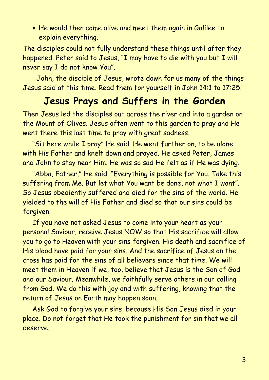• He would then come alive and meet them again in Galilee to explain everything.

The disciples could not fully understand these things until after they happened. Peter said to Jesus, "I may have to die with you but I will never say I do not know You".

 John, the disciple of Jesus, wrote down for us many of the things Jesus said at this time. Read them for yourself in John 14:1 to 17:25.

## **Jesus Prays and Suffers in the Garden**

Then Jesus led the disciples out across the river and into a garden on the Mount of Olives. Jesus often went to this garden to pray and He went there this last time to pray with great sadness.

"Sit here while I pray" He said. He went further on, to be alone with His Father and knelt down and prayed. He asked Peter, James and John to stay near Him. He was so sad He felt as if He was dying.

"Abba, Father," He said. "Everything is possible for You. Take this suffering from Me. But let what You want be done, not what I want". So Jesus obediently suffered and died for the sins of the world. He yielded to the will of His Father and died so that our sins could be forgiven.

If you have not asked Jesus to come into your heart as your personal Saviour, receive Jesus NOW so that His sacrifice will allow you to go to Heaven with your sins forgiven. His death and sacrifice of His blood have paid for your sins. And the sacrifice of Jesus on the cross has paid for the sins of all believers since that time. We will meet them in Heaven if we, too, believe that Jesus is the Son of God and our Saviour. Meanwhile, we faithfully serve others in our calling from God. We do this with joy and with suffering, knowing that the return of Jesus on Earth may happen soon.

Ask God to forgive your sins, because His Son Jesus died in your place. Do not forget that He took the punishment for sin that we all deserve.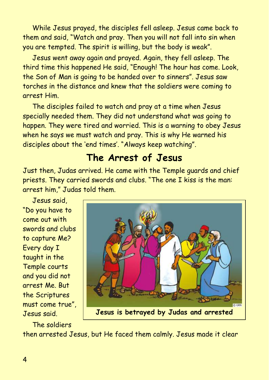While Jesus prayed, the disciples fell asleep. Jesus came back to them and said, "Watch and pray. Then you will not fall into sin when you are tempted. The spirit is willing, but the body is weak".

Jesus went away again and prayed. Again, they fell asleep. The third time this happened He said, "Enough! The hour has come. Look, the Son of Man is going to be handed over to sinners". Jesus saw torches in the distance and knew that the soldiers were coming to arrest Him.

The disciples failed to watch and pray at a time when Jesus specially needed them. They did not understand what was going to happen. They were tired and worried. This is a warning to obey Jesus when he says we must watch and pray. This is why He warned his disciples about the 'end times'. "Always keep watching".

## **The Arrest of Jesus**

Just then, Judas arrived. He came with the Temple guards and chief priests. They carried swords and clubs. "The one I kiss is the man: arrest him," Judas told them.

Jesus said, "Do you have to come out with swords and clubs to capture Me? Every day I taught in the Temple courts and you did not arrest Me. But the Scriptures must come true", Jesus said.



**Jesus is betrayed by Judas and arrested**

The soldiers

then arrested Jesus, but He faced them calmly. Jesus made it clear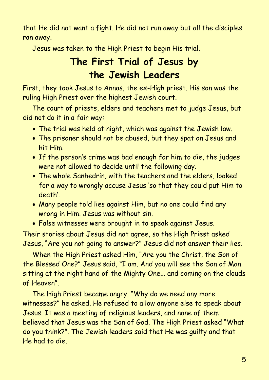that He did not want a fight. He did not run away but all the disciples ran away.

Jesus was taken to the High Priest to begin His trial.

# **The First Trial of Jesus by the Jewish Leaders**

First, they took Jesus to Annas, the ex-High priest. His son was the ruling High Priest over the highest Jewish court.

The court of priests, elders and teachers met to judge Jesus, but did not do it in a fair way:

- The trial was held at night, which was against the Jewish law.
- The prisoner should not be abused, but they spat on Jesus and hit Him.
- If the person's crime was bad enough for him to die, the judges were not allowed to decide until the following day.
- The whole Sanhedrin, with the teachers and the elders, looked for a way to wrongly accuse Jesus 'so that they could put Him to death'.
- Many people told lies against Him, but no one could find any wrong in Him. Jesus was without sin.
- False witnesses were brought in to speak against Jesus.

Their stories about Jesus did not agree, so the High Priest asked Jesus, "Are you not going to answer?" Jesus did not answer their lies.

When the High Priest asked Him, "Are you the Christ, the Son of the Blessed One?" Jesus said, "I am. And you will see the Son of Man sitting at the right hand of the Mighty One... and coming on the clouds of Heaven".

The High Priest became angry. "Why do we need any more witnesses?" he asked. He refused to allow anyone else to speak about Jesus. It was a meeting of religious leaders, and none of them believed that Jesus was the Son of God. The High Priest asked "What do you think?". The Jewish leaders said that He was guilty and that He had to die.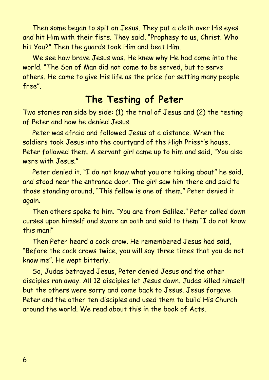Then some began to spit on Jesus. They put a cloth over His eyes and hit Him with their fists. They said, "Prophesy to us, Christ. Who hit You?" Then the guards took Him and beat Him.

We see how brave Jesus was. He knew why He had come into the world. "The Son of Man did not come to be served, but to serve others. He came to give His life as the price for setting many people free".

### **The Testing of Peter**

Two stories ran side by side: (1) the trial of Jesus and (2) the testing of Peter and how he denied Jesus.

Peter was afraid and followed Jesus at a distance. When the soldiers took Jesus into the courtyard of the High Priest's house, Peter followed them. A servant girl came up to him and said, "You also were with Jesus."

Peter denied it. "I do not know what you are talking about" he said, and stood near the entrance door. The girl saw him there and said to those standing around, "This fellow is one of them." Peter denied it again.

Then others spoke to him. "You are from Galilee." Peter called down curses upon himself and swore an oath and said to them "I do not know this man!"

Then Peter heard a cock crow. He remembered Jesus had said, "Before the cock crows twice, you will say three times that you do not know me". He wept bitterly.

So, Judas betrayed Jesus, Peter denied Jesus and the other disciples ran away. All 12 disciples let Jesus down. Judas killed himself but the others were sorry and came back to Jesus. Jesus forgave Peter and the other ten disciples and used them to build His Church around the world. We read about this in the book of Acts.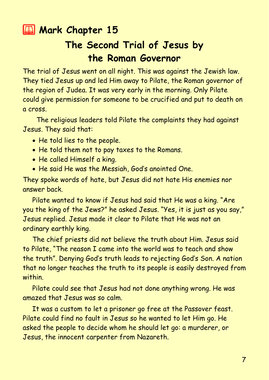### **2 Mark Chapter 15**

# **The Second Trial of Jesus by the Roman Governor**

The trial of Jesus went on all night. This was against the Jewish law. They tied Jesus up and led Him away to Pilate, the Roman governor of the region of Judea. It was very early in the morning. Only Pilate could give permission for someone to be crucified and put to death on a cross.

 The religious leaders told Pilate the complaints they had against Jesus. They said that:

- He told lies to the people.
- He told them not to pay taxes to the Romans.
- He called Himself a king.
- He said He was the Messiah, God's anointed One.

They spoke words of hate, but Jesus did not hate His enemies nor answer back.

Pilate wanted to know if Jesus had said that He was a king. "Are you the king of the Jews?" he asked Jesus. "Yes, it is just as you say," Jesus replied. Jesus made it clear to Pilate that He was not an ordinary earthly king.

The chief priests did not believe the truth about Him. Jesus said to Pilate, "The reason I came into the world was to teach and show the truth". Denying God's truth leads to rejecting God's Son. A nation that no longer teaches the truth to its people is easily destroyed from within.

Pilate could see that Jesus had not done anything wrong. He was amazed that Jesus was so calm.

It was a custom to let a prisoner go free at the Passover feast. Pilate could find no fault in Jesus so he wanted to let Him go. He asked the people to decide whom he should let go: a murderer, or Jesus, the innocent carpenter from Nazareth.